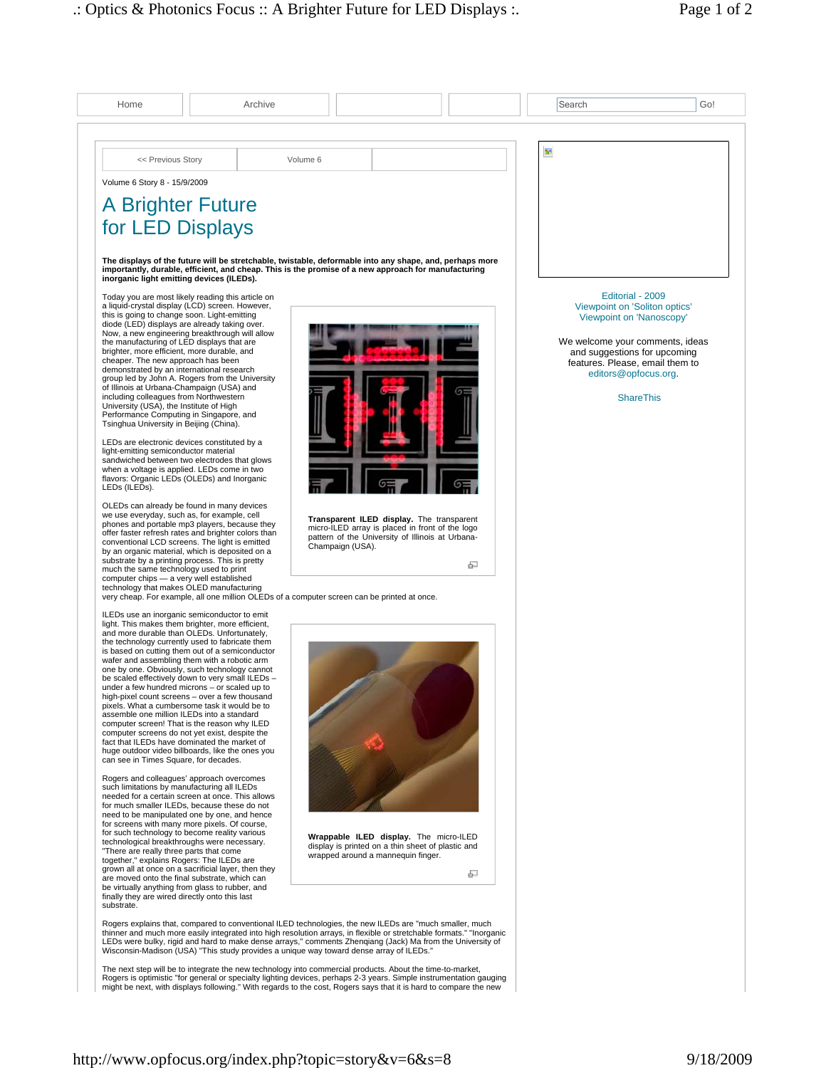| Home                                                                                                                                                                    | Archive                                                                                                                                                                                                                                                                                                                       |          |                                                                                                     |   | Search     | Go!                                                                           |
|-------------------------------------------------------------------------------------------------------------------------------------------------------------------------|-------------------------------------------------------------------------------------------------------------------------------------------------------------------------------------------------------------------------------------------------------------------------------------------------------------------------------|----------|-----------------------------------------------------------------------------------------------------|---|------------|-------------------------------------------------------------------------------|
|                                                                                                                                                                         |                                                                                                                                                                                                                                                                                                                               |          |                                                                                                     |   |            |                                                                               |
| << Previous Story                                                                                                                                                       |                                                                                                                                                                                                                                                                                                                               | Volume 6 |                                                                                                     |   | <b>Bet</b> |                                                                               |
| Volume 6 Story 8 - 15/9/2009                                                                                                                                            |                                                                                                                                                                                                                                                                                                                               |          |                                                                                                     |   |            |                                                                               |
| <b>A Brighter Future</b>                                                                                                                                                |                                                                                                                                                                                                                                                                                                                               |          |                                                                                                     |   |            |                                                                               |
| for LED Displays                                                                                                                                                        |                                                                                                                                                                                                                                                                                                                               |          |                                                                                                     |   |            |                                                                               |
| inorganic light emitting devices (ILEDs).                                                                                                                               | The displays of the future will be stretchable, twistable, deformable into any shape, and, perhaps more<br>importantly, durable, efficient, and cheap. This is the promise of a new approach for manufacturing                                                                                                                |          |                                                                                                     |   |            |                                                                               |
| Today you are most likely reading this article on<br>a liquid-crystal display (LCD) screen. However,<br>this is going to change soon. Light-emitting                    |                                                                                                                                                                                                                                                                                                                               |          |                                                                                                     |   |            | Editorial - 2009<br>Viewpoint on 'Soliton optics'<br>Viewpoint on 'Nanoscopy' |
| diode (LED) displays are already taking over.<br>Now, a new engineering breakthrough will allow<br>the manufacturing of LED displays that are                           |                                                                                                                                                                                                                                                                                                                               |          |                                                                                                     |   |            | We welcome your comments, ideas                                               |
| brighter, more efficient, more durable, and<br>cheaper. The new approach has been                                                                                       |                                                                                                                                                                                                                                                                                                                               |          |                                                                                                     |   |            | and suggestions for upcoming<br>features. Please, email them to               |
| demonstrated by an international research<br>group led by John A. Rogers from the University<br>of Illinois at Urbana-Champaign (USA) and                               |                                                                                                                                                                                                                                                                                                                               |          |                                                                                                     |   |            | editors@opfocus.org.                                                          |
| including colleagues from Northwestern<br>University (USA), the Institute of High<br>Performance Computing in Singapore, and<br>Tsinghua University in Beijing (China). |                                                                                                                                                                                                                                                                                                                               |          |                                                                                                     |   |            | <b>ShareThis</b>                                                              |
| LEDs are electronic devices constituted by a                                                                                                                            |                                                                                                                                                                                                                                                                                                                               |          |                                                                                                     |   |            |                                                                               |
| light-emitting semiconductor material<br>sandwiched between two electrodes that glows<br>when a voltage is applied. LEDs come in two                                    |                                                                                                                                                                                                                                                                                                                               |          |                                                                                                     |   |            |                                                                               |
| flavors: Organic LEDs (OLEDs) and Inorganic<br>LEDs (ILEDs).                                                                                                            |                                                                                                                                                                                                                                                                                                                               |          |                                                                                                     |   |            |                                                                               |
| OLEDs can already be found in many devices<br>we use everyday, such as, for example, cell                                                                               |                                                                                                                                                                                                                                                                                                                               |          | Transparent ILED display. The transparent                                                           |   |            |                                                                               |
| phones and portable mp3 players, because they<br>offer faster refresh rates and brighter colors than<br>conventional LCD screens. The light is emitted                  |                                                                                                                                                                                                                                                                                                                               |          | micro-ILED array is placed in front of the logo<br>pattern of the University of Illinois at Urbana- |   |            |                                                                               |
| by an organic material, which is deposited on a<br>substrate by a printing process. This is pretty                                                                      |                                                                                                                                                                                                                                                                                                                               |          | Champaign (USA).                                                                                    | 로 |            |                                                                               |
| much the same technology used to print<br>computer chips - a very well established<br>technology that makes OLED manufacturing                                          | very cheap. For example, all one million OLEDs of a computer screen can be printed at once.                                                                                                                                                                                                                                   |          |                                                                                                     |   |            |                                                                               |
| ILEDs use an inorganic semiconductor to emit<br>light. This makes them brighter, more efficient,                                                                        |                                                                                                                                                                                                                                                                                                                               |          |                                                                                                     |   |            |                                                                               |
| and more durable than OLEDs. Unfortunately,<br>the technology currently used to fabricate them                                                                          |                                                                                                                                                                                                                                                                                                                               |          |                                                                                                     |   |            |                                                                               |
| is based on cutting them out of a semiconductor<br>wafer and assembling them with a robotic arm<br>one by one. Obviously, such technology cannot                        |                                                                                                                                                                                                                                                                                                                               |          |                                                                                                     |   |            |                                                                               |
| be scaled effectively down to very small ILEDs -<br>under a few hundred microns – or scaled up to                                                                       |                                                                                                                                                                                                                                                                                                                               |          |                                                                                                     |   |            |                                                                               |
| high-pixel count screens - over a few thousand<br>pixels. What a cumbersome task it would be to<br>assemble one million ILEDs into a standard                           |                                                                                                                                                                                                                                                                                                                               |          |                                                                                                     |   |            |                                                                               |
| computer screen! That is the reason why ILED<br>computer screens do not yet exist, despite the<br>fact that ILEDs have dominated the market of                          |                                                                                                                                                                                                                                                                                                                               |          |                                                                                                     |   |            |                                                                               |
| huge outdoor video billboards, like the ones you<br>can see in Times Square, for decades.                                                                               |                                                                                                                                                                                                                                                                                                                               |          |                                                                                                     |   |            |                                                                               |
| Rogers and colleagues' approach overcomes<br>such limitations by manufacturing all ILEDs                                                                                |                                                                                                                                                                                                                                                                                                                               |          |                                                                                                     |   |            |                                                                               |
| needed for a certain screen at once. This allows<br>for much smaller ILEDs, because these do not<br>need to be manipulated one by one, and hence                        |                                                                                                                                                                                                                                                                                                                               |          |                                                                                                     |   |            |                                                                               |
| for screens with many more pixels. Of course,<br>for such technology to become reality various                                                                          |                                                                                                                                                                                                                                                                                                                               |          | Wrappable ILED display. The micro-ILED                                                              |   |            |                                                                               |
| technological breakthroughs were necessary.<br>"There are really three parts that come<br>together," explains Rogers: The ILEDs are                                     |                                                                                                                                                                                                                                                                                                                               |          | display is printed on a thin sheet of plastic and<br>wrapped around a mannequin finger.             |   |            |                                                                               |
| grown all at once on a sacrificial layer, then they<br>are moved onto the final substrate, which can                                                                    |                                                                                                                                                                                                                                                                                                                               |          |                                                                                                     | ச |            |                                                                               |
| be virtually anything from glass to rubber, and<br>finally they are wired directly onto this last<br>substrate.                                                         |                                                                                                                                                                                                                                                                                                                               |          |                                                                                                     |   |            |                                                                               |
|                                                                                                                                                                         | Rogers explains that, compared to conventional ILED technologies, the new ILEDs are "much smaller, much                                                                                                                                                                                                                       |          |                                                                                                     |   |            |                                                                               |
|                                                                                                                                                                         | thinner and much more easily integrated into high resolution arrays, in flexible or stretchable formats." "Inorganic<br>LEDs were bulky, rigid and hard to make dense arrays," comments Zhengiang (Jack) Ma from the University of<br>Wisconsin-Madison (USA) "This study provides a unique way toward dense array of ILEDs." |          |                                                                                                     |   |            |                                                                               |
|                                                                                                                                                                         | The next step will be to integrate the new technology into commercial products. About the time-to-market,                                                                                                                                                                                                                     |          |                                                                                                     |   |            |                                                                               |